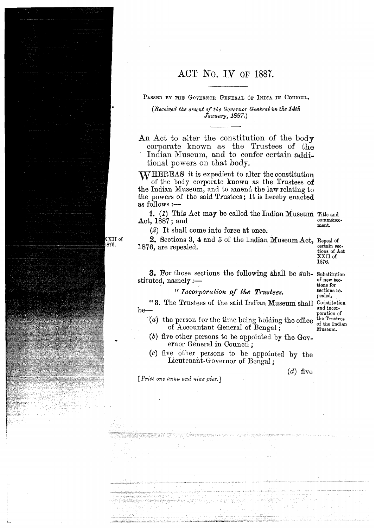## ACT No. IV OF 1887.

PASSED BY THE GOVERNOR GENERAL OF INDIA IN COUNCIL.

*(Received the assent of the Governor General on the 14th January, 1887.)* 

An Act to alter the constitution of the body corporate known as the Trustees of the Indian Museum, and to confer certain additional powers on that body.

WHEREAS it is expedient to alter the constitution of the body corporate known as the Trustees of the Indian Museum, and to amend the lam relating to the powers of the said Trustees ; It is hereby enacted as follows :-

1. (I) This Act may be called the Indian Museum Title **and**  1. (1) This Act may be called the Indian Museum Title and<br>Act, 1887; and commence-<br>ment.

*(2)* It shall come into force at once.

2. Sections **3, 4** and 5 of the Indian Museum Act, Repeal of 1876, are repealed. **SW. Act SERVEY ACT** CONSIDERS THE SERVER TO SERVER THE SERVER OF ACT CONSIDERS TO A LIMIT OF A CHANGE OF A LIMIT OF A LIMIT OF A LIMIT OF A LIMIT OF A LIMIT OF A LIMIT OF A LIMIT OF A LIMIT OF A LIMIT

**XXII** of **1876.** 

pealed.

**3.** For those sections the following shall be sub- Substitution stituted, namely :- of new kctions for stituted, namely :—<br>"*Incorporation of the Trustees.* 

**f** 3. The Trustees of the said Indian Museum shall Constitution  $b\rightarrow 0$ and incor-<br>poration of<br>the Trustees

- $t^*(a)$  the person for the time being holding the office  $\frac{1}{a}$  of the Indian of Accountant General of Bengal ;  $D$
- (b) five other persons to be appointed by the Governor General in Council ;
- *c*) five other persons to be appointed by the Lieutenant-Governor of Bengal;

 $(d)$  five

*[Price one anna and nine pies.]* 

.<br>Westwart is in<sup>k</sup> ary formalist hands the community of the

 $\mathtt{XXII}$  of .876.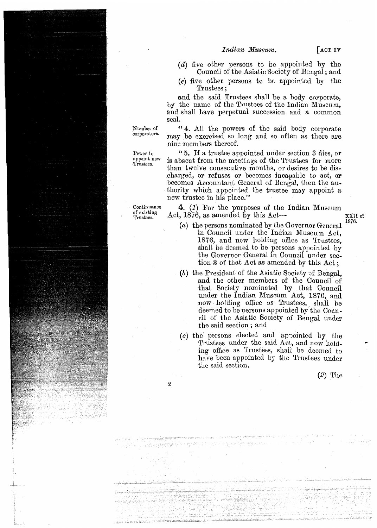Indian Museum.

- $\sqrt{\ }$   $\Delta$  CT IV
- (d) five other persons to be appointed by the Council of the Asiatic Society of Bengal ; and
- *(e)* five other persons to be appointed by the Trustees ;

and the said Trustees shall be a body corporate, by the name of the Trustees of the Indian Museum, and shall have perpetual succession and a common seal.

Number of "4. All the powers of the said body corporate corporators. may be exercised so long and so often as there are

Continuance of existing Trustees.

**2** 

CIP 4월 2월 12일 12일<br>대한민국 중심 제공 개정이다

**SERVICE PRODUCT** 

1.21.Th

 $\theta \leq \lambda \leq 1$ 

nine members thereof.

Power to "5. If a trustee appointed under section 3 dies, or<br><sup>appoint new</sup> is absent from the meetings of the Trustees for more than twelve consecutive months, or desires to be discharged, or refuses or becomes incapable to act, OF becomes Accountant General of Bengd, then the authority which appointed the trustee may appoint a new trustee in his place."

> 4. (1) For the purposes of the Indian Museum Act,  $1876$ , as amended by this Act— $\overline{XXII}$  of

- 
- **1876.** *(a)* the persons nominated by the Governor General in Council under the Indian Museum Act, 1876, and now holding office as Trustees, shall be deemed to be persons appointed by the Governor General in Council under section **3** of that Act as amended by this Act ;
- (b) the President of the Asiatic Society of Bengal, and the other members of the Council of that Society nominated by that Council under the Indian Museum Act, 1876, and now holding office as Trustees, shall be deemed to be persons appointed by the Council of the Asiatic Society of Bengal under the said section ; and
- (c) the persons elected and appointed by the Trustees under the said Act, and now holding office as Trustees, shall be deemed to have been appointed by the Trustees under the said section.

 $(2)$  The

angan pali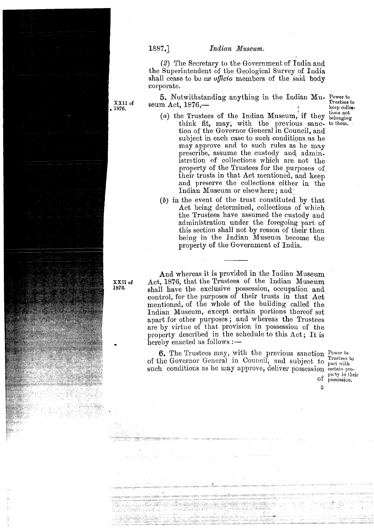## **'1887.] Indian** *Maseam.*

*(2)* The Secretary lo the Government of India and the Superintendent of the Geological Survey of India shall cease to be ex *ufficio* members of the said body corporate.

5. Notwithstanding anything in the Indian Mu- Power to Trustees to

- seum Act, 1876,- Trustees to **5 kee~** collw-(a) the Trustees of the Indian Museum, if they  $\frac{\text{tions not}}{\text{belonging}}$  think fit, may, with the previous sance to them. think fit, may, with the previous sanc- to them. tion of the Governor General in Council, and subject in each case to such conditions as he may approve and to such rules as he may prescribe, assume the custody and administration of collections which are not the property of the Trustees for the purposes of their trusts in that Act mentioned, and keep and preserve the collections either in the Indian Museum or elsewhere; and
	- *(6)* in the event of the trust constituted by that Act being determined, collections of which the Trustees have assumed the custody and administration under the foregoing part of this section shall not by reason of their then being in the Indian Museum become the property of the Government of India.

And whereas it is provided in the Indian Museum Act, 1876, that the Trustees of the Indian Museum shall have the exclusive possession, occupation and control, for the purposes of their trusts in that **Act**  mentioned, of the whole of the building called the Indian Museum, except certain portions thereof set apart for other purposes ; and whereas the Trustees are by virtue of that provision in possession of the property described in the schedule to this Act; It is hereby enacted as follows  $:$   $-$ 

**6.** The Trustees may, with the previous sanction *Power to*<br> $\frac{1}{2}$   $\frac{1}{2}$   $\frac{1}{2}$   $\frac{1}{2}$   $\frac{1}{2}$   $\frac{1}{2}$   $\frac{1}{2}$   $\frac{1}{2}$   $\frac{1}{2}$   $\frac{1}{2}$   $\frac{1}{2}$   $\frac{1}{2}$   $\frac{1}{2}$   $\frac{1}{2}$   $\frac{1}{2}$   $\frac{1}{2}$  of the Governor General in Council, and subject to part with such conditions as he may approve, deliver possession certain pro-

Of possession.

**3** 

XXII **of 1876.** 

**XXII of 1876.**